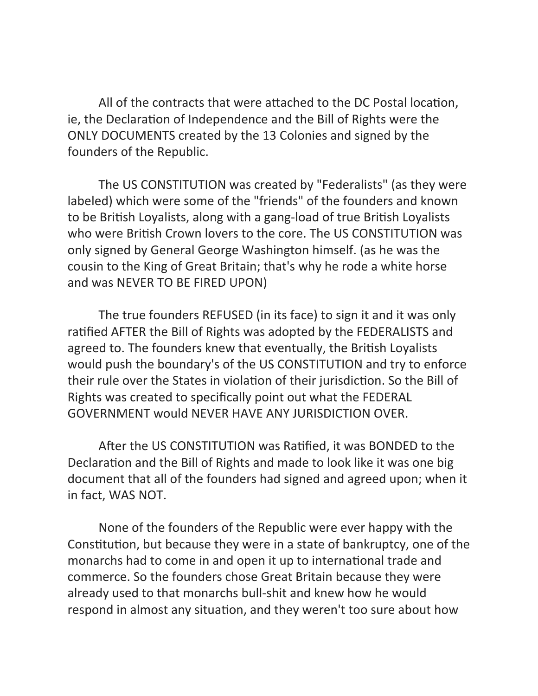All of the contracts that were attached to the DC Postal location, ie, the Declaration of Independence and the Bill of Rights were the ONLY DOCUMENTS created by the 13 Colonies and signed by the founders of the Republic.

The US CONSTITUTION was created by "Federalists" (as they were labeled) which were some of the "friends" of the founders and known to be British Loyalists, along with a gang-load of true British Loyalists who were British Crown lovers to the core. The US CONSTITUTION was only signed by General George Washington himself. (as he was the cousin to the King of Great Britain; that's why he rode a white horse and was NEVER TO BE FIRED UPON)

The true founders REFUSED (in its face) to sign it and it was only ratified AFTER the Bill of Rights was adopted by the FEDERALISTS and agreed to. The founders knew that eventually, the British Loyalists would push the boundary's of the US CONSTITUTION and try to enforce their rule over the States in violation of their jurisdiction. So the Bill of Rights was created to specifically point out what the FEDERAL GOVERNMENT would NEVER HAVE ANY JURISDICTION OVER.

After the US CONSTITUTION was Ratified, it was BONDED to the Declaration and the Bill of Rights and made to look like it was one big document that all of the founders had signed and agreed upon; when it in fact, WAS NOT.

None of the founders of the Republic were ever happy with the Constitution, but because they were in a state of bankruptcy, one of the monarchs had to come in and open it up to international trade and commerce. So the founders chose Great Britain because they were already used to that monarchs bull-shit and knew how he would respond in almost any situation, and they weren't too sure about how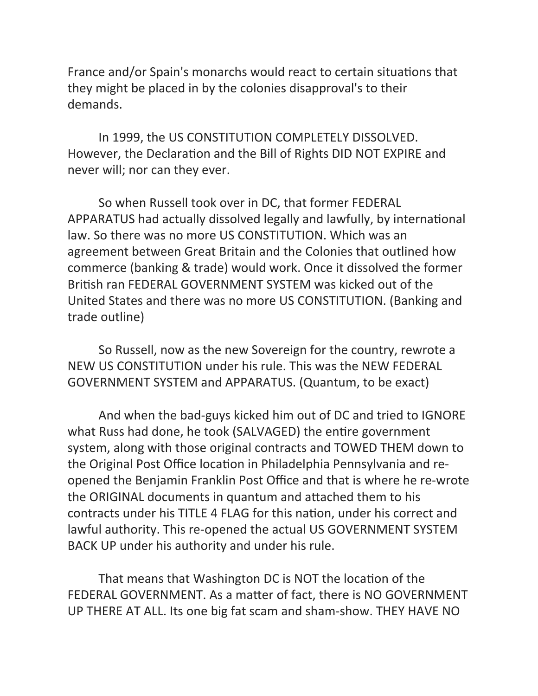France and/or Spain's monarchs would react to certain situations that they might be placed in by the colonies disapproval's to their demands. 

In 1999, the US CONSTITUTION COMPLETELY DISSOLVED. However, the Declaration and the Bill of Rights DID NOT EXPIRE and never will; nor can they ever.

So when Russell took over in DC, that former FEDERAL APPARATUS had actually dissolved legally and lawfully, by international law. So there was no more US CONSTITUTION. Which was an agreement between Great Britain and the Colonies that outlined how commerce (banking & trade) would work. Once it dissolved the former British ran FEDERAL GOVERNMENT SYSTEM was kicked out of the United States and there was no more US CONSTITUTION. (Banking and trade outline)

So Russell, now as the new Sovereign for the country, rewrote a NEW US CONSTITUTION under his rule. This was the NEW FEDERAL GOVERNMENT SYSTEM and APPARATUS. (Quantum, to be exact)

And when the bad-guys kicked him out of DC and tried to IGNORE what Russ had done, he took (SALVAGED) the entire government system, along with those original contracts and TOWED THEM down to the Original Post Office location in Philadelphia Pennsylvania and reopened the Benjamin Franklin Post Office and that is where he re-wrote the ORIGINAL documents in quantum and attached them to his contracts under his TITLE 4 FLAG for this nation, under his correct and lawful authority. This re-opened the actual US GOVERNMENT SYSTEM BACK UP under his authority and under his rule.

That means that Washington DC is NOT the location of the FEDERAL GOVERNMENT. As a matter of fact, there is NO GOVERNMENT UP THERE AT ALL. Its one big fat scam and sham-show. THEY HAVE NO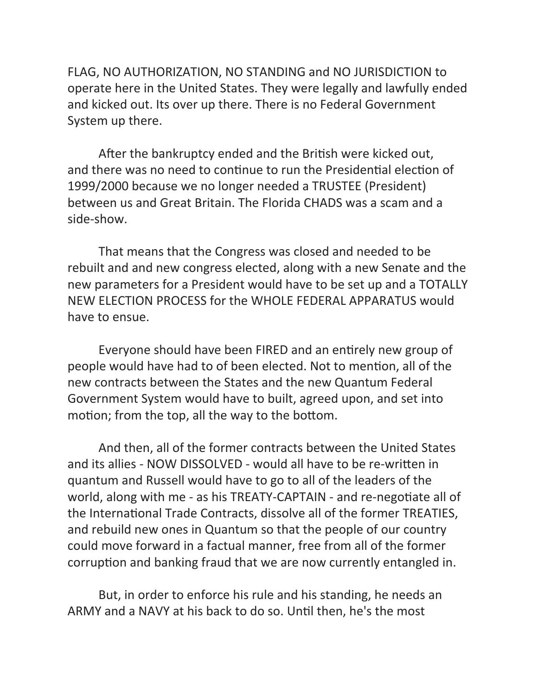FLAG, NO AUTHORIZATION, NO STANDING and NO JURISDICTION to operate here in the United States. They were legally and lawfully ended and kicked out. Its over up there. There is no Federal Government System up there.

After the bankruptcy ended and the British were kicked out, and there was no need to continue to run the Presidential election of 1999/2000 because we no longer needed a TRUSTEE (President) between us and Great Britain. The Florida CHADS was a scam and a side-show.

That means that the Congress was closed and needed to be. rebuilt and and new congress elected, along with a new Senate and the new parameters for a President would have to be set up and a TOTALLY NEW ELECTION PROCESS for the WHOLE FEDERAL APPARATUS would have to ensue.

Everyone should have been FIRED and an entirely new group of people would have had to of been elected. Not to mention, all of the new contracts between the States and the new Quantum Federal Government System would have to built, agreed upon, and set into motion; from the top, all the way to the bottom.

And then, all of the former contracts between the United States and its allies - NOW DISSOLVED - would all have to be re-written in quantum and Russell would have to go to all of the leaders of the world, along with me - as his TREATY-CAPTAIN - and re-negotiate all of the International Trade Contracts, dissolve all of the former TREATIES, and rebuild new ones in Quantum so that the people of our country could move forward in a factual manner, free from all of the former corruption and banking fraud that we are now currently entangled in.

But, in order to enforce his rule and his standing, he needs an ARMY and a NAVY at his back to do so. Until then, he's the most